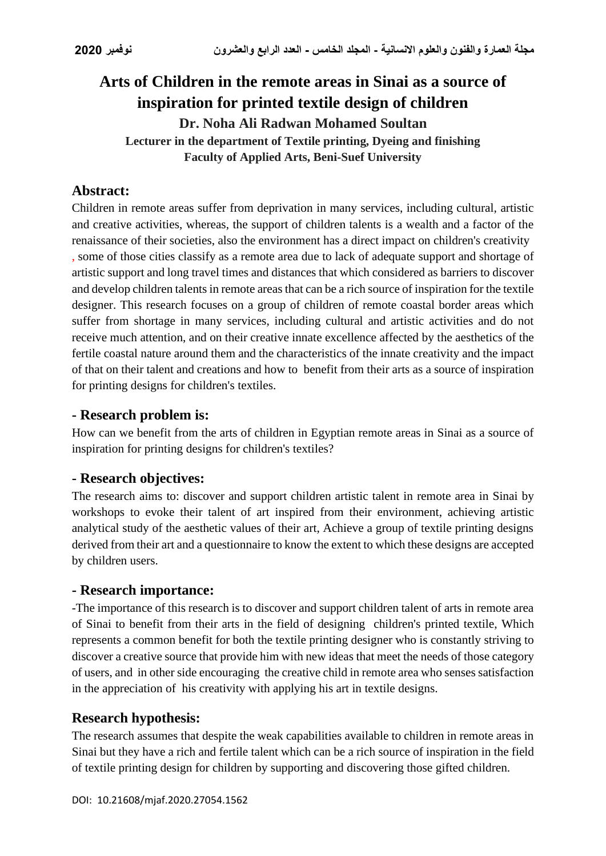# **Arts of Children in the remote areas in Sinai as a source of inspiration for printed textile design of children Dr. Noha Ali Radwan Mohamed Soultan Lecturer in the department of Textile printing, Dyeing and finishing Faculty of Applied Arts, Beni-Suef University**

# **Abstract:**

Children in remote areas suffer from deprivation in many services, including cultural, artistic and creative activities, whereas, the support of children talents is a wealth and a factor of the renaissance of their societies, also the environment has a direct impact on children's creativity , some of those cities classify as a remote area due to lack of adequate support and shortage of artistic support and long travel times and distances that which considered as barriers to discover and develop children talents in remote areas that can be a rich source of inspiration for the textile designer. This research focuses on a group of children of remote coastal border areas which suffer from shortage in many services, including cultural and artistic activities and do not receive much attention, and on their creative innate excellence affected by the aesthetics of the fertile coastal nature around them and the characteristics of the innate creativity and the impact of that on their talent and creations and how to benefit from their arts as a source of inspiration for printing designs for children's textiles.

#### **- Research problem is:**

How can we benefit from the arts of children in Egyptian remote areas in Sinai as a source of inspiration for printing designs for children's textiles?

### **- Research objectives:**

The research aims to: discover and support children artistic talent in remote area in Sinai by workshops to evoke their talent of art inspired from their environment, achieving artistic analytical study of the aesthetic values of their art, Achieve a group of textile printing designs derived from their art and a questionnaire to know the extent to which these designs are accepted by children users.

### **- Research importance:**

-The importance of this research is to discover and support children talent of arts in remote area of Sinai to benefit from their arts in the field of designing children's printed textile, Which represents a common benefit for both the textile printing designer who is constantly striving to discover a creative source that provide him with new ideas that meet the needs of those category of users, and in other side encouraging the creative child in remote area who senses satisfaction in the appreciation of his creativity with applying his art in textile designs.

### **Research hypothesis:**

The research assumes that despite the weak capabilities available to children in remote areas in Sinai but they have a rich and fertile talent which can be a rich source of inspiration in the field of textile printing design for children by supporting and discovering those gifted children.